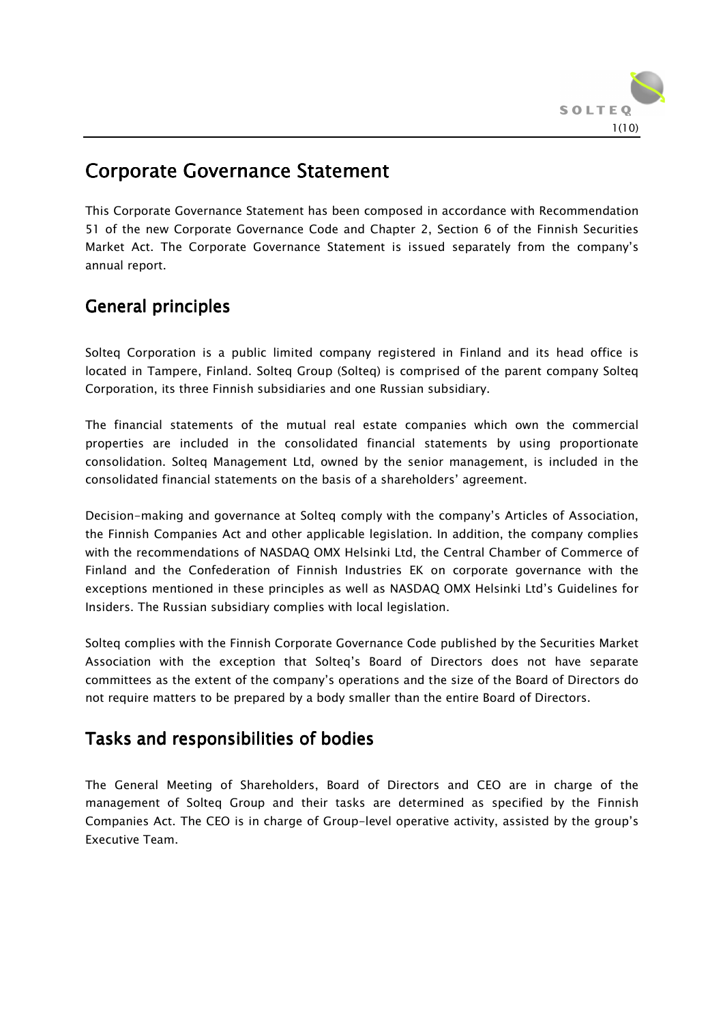

# **Corporate Governance Statement**

This Corporate Governance Statement has been composed in accordance with Recommendation 51 of the new Corporate Governance Code and Chapter 2, Section 6 of the Finnish Securities Market Act. The Corporate Governance Statement is issued separately from the company's annual report.

# General principles

Solteq Corporation is a public limited company registered in Finland and its head office is located in Tampere, Finland. Solteq Group (Solteq) is comprised of the parent company Solteq Corporation, its three Finnish subsidiaries and one Russian subsidiary.

The financial statements of the mutual real estate companies which own the commercial properties are included in the consolidated financial statements by using proportionate consolidation. Solteq Management Ltd, owned by the senior management, is included in the consolidated financial statements on the basis of a shareholders' agreement.

Decision-making and governance at Solteq comply with the company's Articles of Association, the Finnish Companies Act and other applicable legislation. In addition, the company complies with the recommendations of NASDAQ OMX Helsinki Ltd, the Central Chamber of Commerce of Finland and the Confederation of Finnish Industries EK on corporate governance with the exceptions mentioned in these principles as well as NASDAQ OMX Helsinki Ltd's Guidelines for Insiders. The Russian subsidiary complies with local legislation.

Solteq complies with the Finnish Corporate Governance Code published by the Securities Market Association with the exception that Solteq's Board of Directors does not have separate committees as the extent of the company's operations and the size of the Board of Directors do not require matters to be prepared by a body smaller than the entire Board of Directors.

# Tasks and responsibilities of bodies

The General Meeting of Shareholders, Board of Directors and CEO are in charge of the management of Solteq Group and their tasks are determined as specified by the Finnish Companies Act. The CEO is in charge of Group-level operative activity, assisted by the group's Executive Team.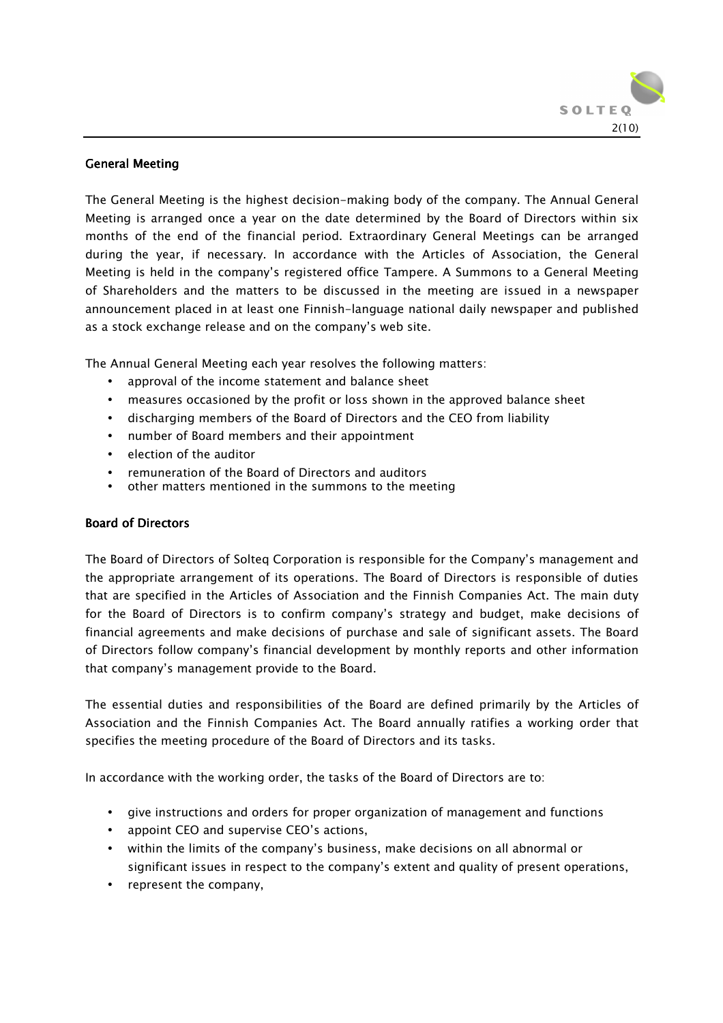

### **General Meeting**

The General Meeting is the highest decision-making body of the company. The Annual General Meeting is arranged once a year on the date determined by the Board of Directors within six months of the end of the financial period. Extraordinary General Meetings can be arranged during the year, if necessary. In accordance with the Articles of Association, the General Meeting is held in the company's registered office Tampere. A Summons to a General Meeting of Shareholders and the matters to be discussed in the meeting are issued in a newspaper announcement placed in at least one Finnish-language national daily newspaper and published as a stock exchange release and on the company's web site.

The Annual General Meeting each year resolves the following matters:

- approval of the income statement and balance sheet
- measures occasioned by the profit or loss shown in the approved balance sheet
- discharging members of the Board of Directors and the CEO from liability
- number of Board members and their appointment
- election of the auditor
- remuneration of the Board of Directors and auditors
- other matters mentioned in the summons to the meeting

#### **Board of Directors**

The Board of Directors of Solteq Corporation is responsible for the Company's management and the appropriate arrangement of its operations. The Board of Directors is responsible of duties that are specified in the Articles of Association and the Finnish Companies Act. The main duty for the Board of Directors is to confirm company's strategy and budget, make decisions of financial agreements and make decisions of purchase and sale of significant assets. The Board of Directors follow company's financial development by monthly reports and other information that company's management provide to the Board.

The essential duties and responsibilities of the Board are defined primarily by the Articles of Association and the Finnish Companies Act. The Board annually ratifies a working order that specifies the meeting procedure of the Board of Directors and its tasks.

In accordance with the working order, the tasks of the Board of Directors are to:

- give instructions and orders for proper organization of management and functions
- appoint CEO and supervise CEO's actions,
- within the limits of the company's business, make decisions on all abnormal or significant issues in respect to the company's extent and quality of present operations,
- represent the company,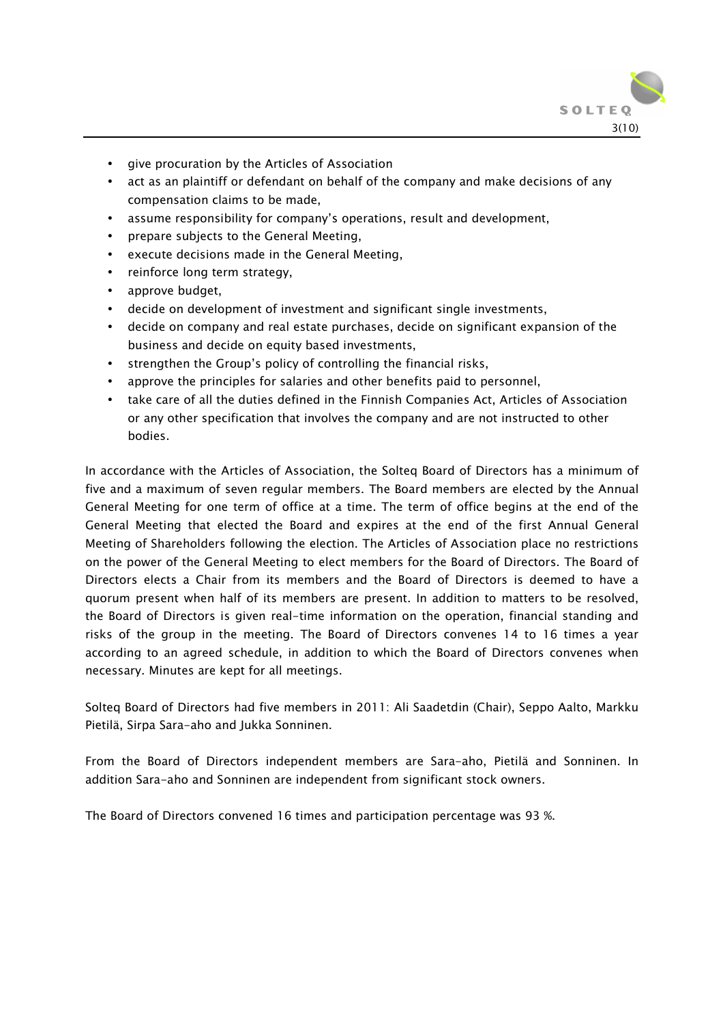

- give procuration by the Articles of Association
- act as an plaintiff or defendant on behalf of the company and make decisions of any compensation claims to be made,
- assume responsibility for company's operations, result and development,
- prepare subjects to the General Meeting,
- execute decisions made in the General Meeting,
- reinforce long term strategy,
- approve budget,
- decide on development of investment and significant single investments,
- decide on company and real estate purchases, decide on significant expansion of the business and decide on equity based investments,
- strengthen the Group's policy of controlling the financial risks,
- approve the principles for salaries and other benefits paid to personnel,
- take care of all the duties defined in the Finnish Companies Act, Articles of Association or any other specification that involves the company and are not instructed to other bodies.

In accordance with the Articles of Association, the Solteq Board of Directors has a minimum of five and a maximum of seven regular members. The Board members are elected by the Annual General Meeting for one term of office at a time. The term of office begins at the end of the General Meeting that elected the Board and expires at the end of the first Annual General Meeting of Shareholders following the election. The Articles of Association place no restrictions on the power of the General Meeting to elect members for the Board of Directors. The Board of Directors elects a Chair from its members and the Board of Directors is deemed to have a quorum present when half of its members are present. In addition to matters to be resolved, the Board of Directors is given real-time information on the operation, financial standing and risks of the group in the meeting. The Board of Directors convenes 14 to 16 times a year according to an agreed schedule, in addition to which the Board of Directors convenes when necessary. Minutes are kept for all meetings.

Solteq Board of Directors had five members in 2011: Ali Saadetdin (Chair), Seppo Aalto, Markku Pietilä, Sirpa Sara-aho and Jukka Sonninen.

From the Board of Directors independent members are Sara-aho, Pietilä and Sonninen. In addition Sara-aho and Sonninen are independent from significant stock owners.

The Board of Directors convened 16 times and participation percentage was 93 %.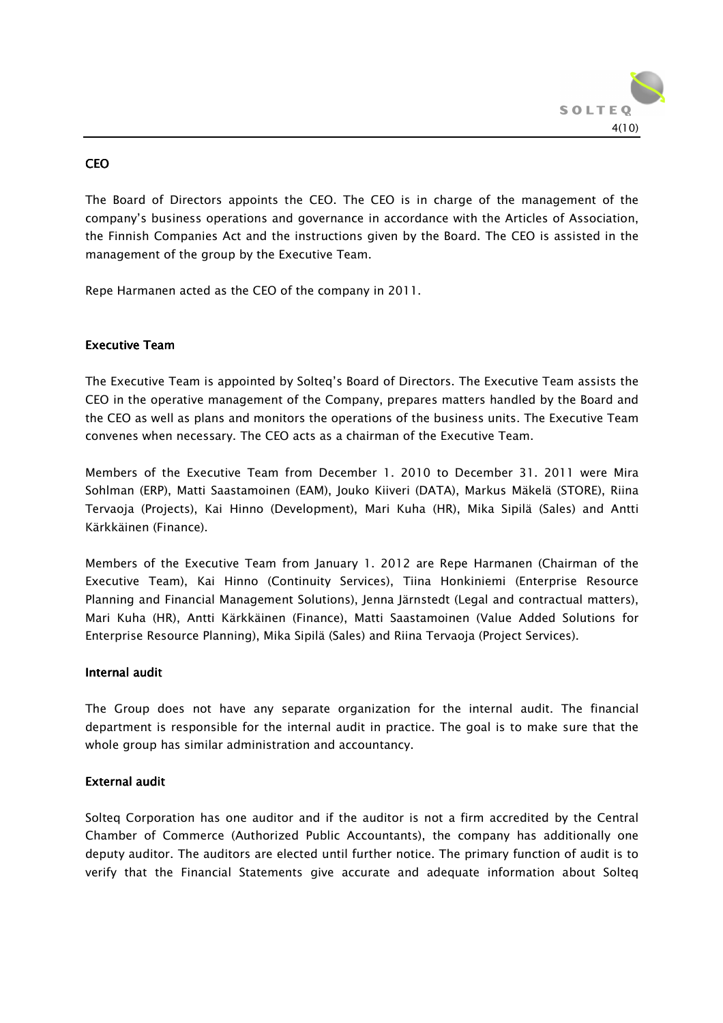

# CEO

The Board of Directors appoints the CEO. The CEO is in charge of the management of the company's business operations and governance in accordance with the Articles of Association, the Finnish Companies Act and the instructions given by the Board. The CEO is assisted in the management of the group by the Executive Team.

Repe Harmanen acted as the CEO of the company in 2011.

# **Executive Team**

The Executive Team is appointed by Solteq's Board of Directors. The Executive Team assists the CEO in the operative management of the Company, prepares matters handled by the Board and the CEO as well as plans and monitors the operations of the business units. The Executive Team convenes when necessary. The CEO acts as a chairman of the Executive Team.

Members of the Executive Team from December 1. 2010 to December 31. 2011 were Mira Sohlman (ERP), Matti Saastamoinen (EAM), Jouko Kiiveri (DATA), Markus Mäkelä (STORE), Riina Tervaoja (Projects), Kai Hinno (Development), Mari Kuha (HR), Mika Sipilä (Sales) and Antti Kärkkäinen (Finance).

Members of the Executive Team from January 1. 2012 are Repe Harmanen (Chairman of the Executive Team), Kai Hinno (Continuity Services), Tiina Honkiniemi (Enterprise Resource Planning and Financial Management Solutions), Jenna Järnstedt (Legal and contractual matters), Mari Kuha (HR), Antti Kärkkäinen (Finance), Matti Saastamoinen (Value Added Solutions for Enterprise Resource Planning), Mika Sipilä (Sales) and Riina Tervaoja (Project Services).

#### Internal audit

The Group does not have any separate organization for the internal audit. The financial department is responsible for the internal audit in practice. The goal is to make sure that the whole group has similar administration and accountancy.

# External audit

Solteq Corporation has one auditor and if the auditor is not a firm accredited by the Central Chamber of Commerce (Authorized Public Accountants), the company has additionally one deputy auditor. The auditors are elected until further notice. The primary function of audit is to verify that the Financial Statements give accurate and adequate information about Solteq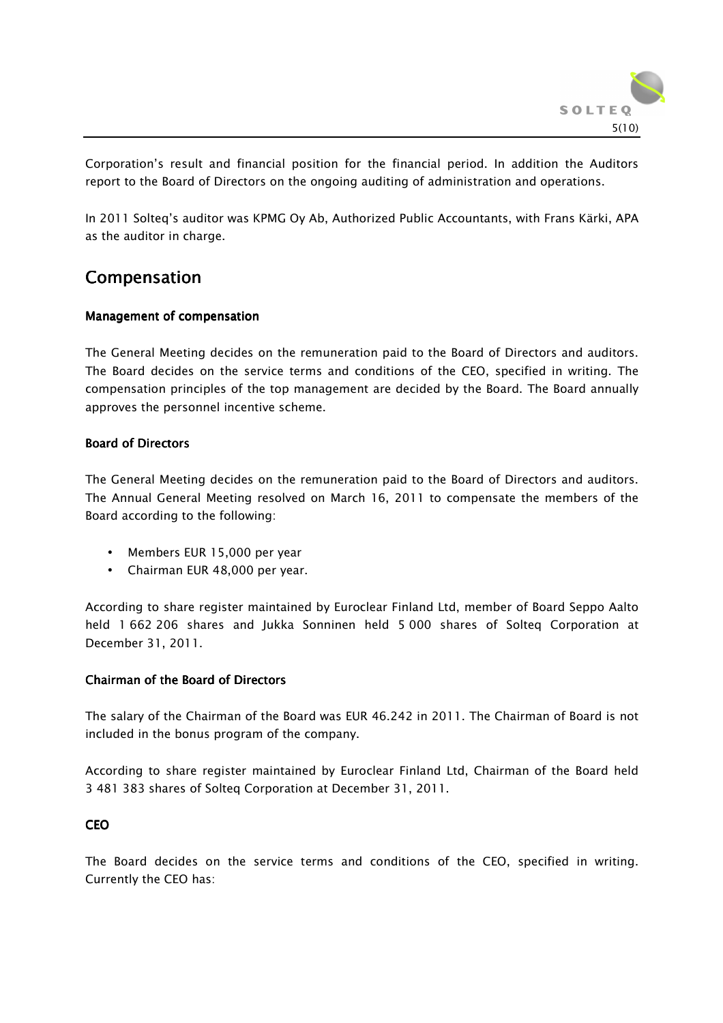

Corporation's result and financial position for the financial period. In addition the Auditors report to the Board of Directors on the ongoing auditing of administration and operations.

In 2011 Solteq's auditor was KPMG Oy Ab, Authorized Public Accountants, with Frans Kärki, APA as the auditor in charge.

# Compensation

### Management of compensation

The General Meeting decides on the remuneration paid to the Board of Directors and auditors. The Board decides on the service terms and conditions of the CEO, specified in writing. The compensation principles of the top management are decided by the Board. The Board annually approves the personnel incentive scheme.

### **Board of Directors**

The General Meeting decides on the remuneration paid to the Board of Directors and auditors. The Annual General Meeting resolved on March 16, 2011 to compensate the members of the Board according to the following:

- Members EUR 15,000 per year
- Chairman EUR 48,000 per year.

According to share register maintained by Euroclear Finland Ltd, member of Board Seppo Aalto held 1 662 206 shares and Jukka Sonninen held 5 000 shares of Solteq Corporation at December 31, 2011.

# Chairman of the Board of Directors

The salary of the Chairman of the Board was EUR 46.242 in 2011. The Chairman of Board is not included in the bonus program of the company.

According to share register maintained by Euroclear Finland Ltd, Chairman of the Board held 3 481 383 shares of Solteq Corporation at December 31, 2011.

# **CEO**

The Board decides on the service terms and conditions of the CEO, specified in writing. Currently the CEO has: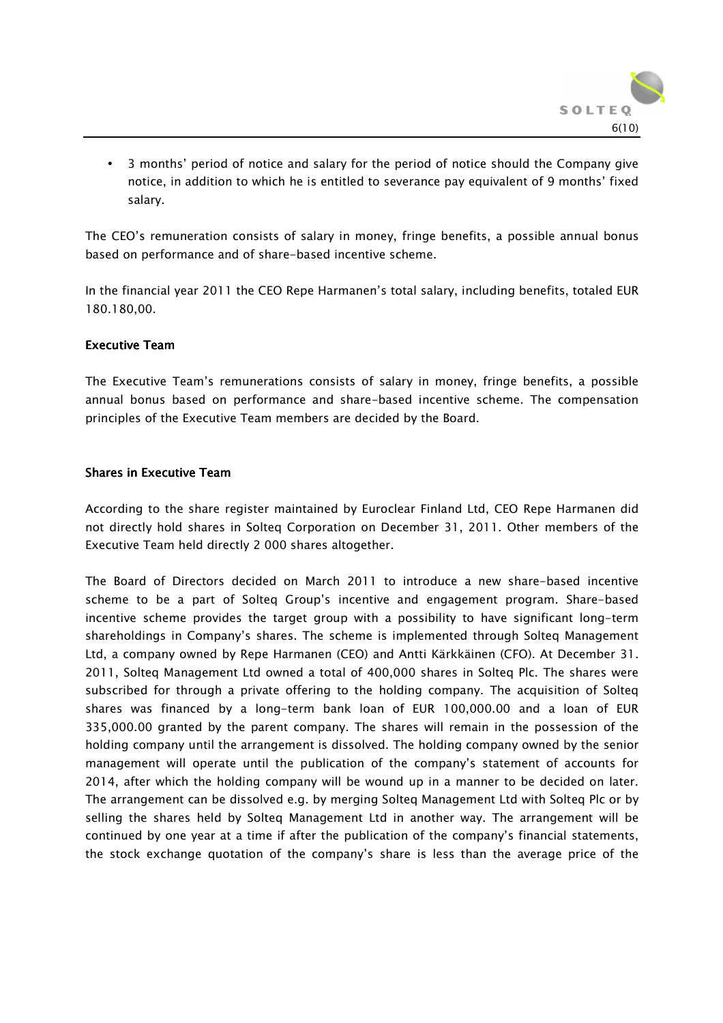

• 3 months' period of notice and salary for the period of notice should the Company give notice, in addition to which he is entitled to severance pay equivalent of 9 months' fixed salary.

The CEO's remuneration consists of salary in money, fringe benefits, a possible annual bonus based on performance and of share-based incentive scheme.

In the financial year 2011 the CEO Repe Harmanen's total salary, including benefits, totaled EUR 180.180,00.

#### Executive Team

The Executive Team's remunerations consists of salary in money, fringe benefits, a possible annual bonus based on performance and share-based incentive scheme. The compensation principles of the Executive Team members are decided by the Board.

### Shares in Executive Team

According to the share register maintained by Euroclear Finland Ltd, CEO Repe Harmanen did not directly hold shares in Solteq Corporation on December 31, 2011. Other members of the Executive Team held directly 2 000 shares altogether.

The Board of Directors decided on March 2011 to introduce a new share-based incentive scheme to be a part of Solteq Group's incentive and engagement program. Share-based incentive scheme provides the target group with a possibility to have significant long-term shareholdings in Company's shares. The scheme is implemented through Solteq Management Ltd, a company owned by Repe Harmanen (CEO) and Antti Kärkkäinen (CFO). At December 31. 2011, Solteq Management Ltd owned a total of 400,000 shares in Solteq Plc. The shares were subscribed for through a private offering to the holding company. The acquisition of Solteq shares was financed by a long-term bank loan of EUR 100,000.00 and a loan of EUR 335,000.00 granted by the parent company. The shares will remain in the possession of the holding company until the arrangement is dissolved. The holding company owned by the senior management will operate until the publication of the company's statement of accounts for 2014, after which the holding company will be wound up in a manner to be decided on later. The arrangement can be dissolved e.g. by merging Solteq Management Ltd with Solteq Plc or by selling the shares held by Solteq Management Ltd in another way. The arrangement will be continued by one year at a time if after the publication of the company's financial statements, the stock exchange quotation of the company's share is less than the average price of the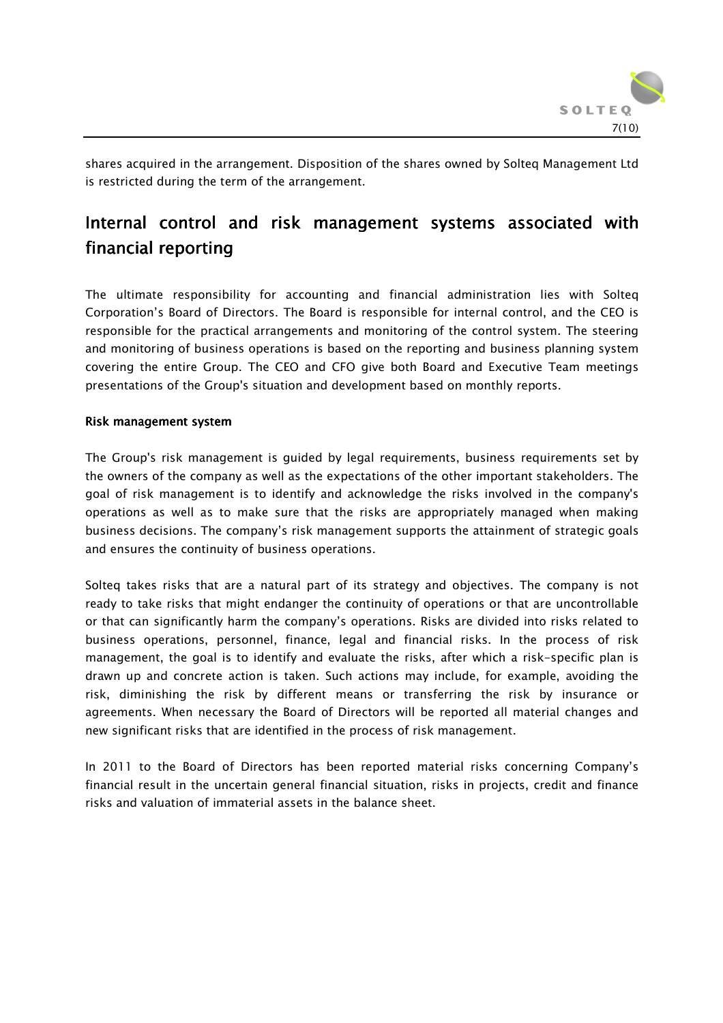

shares acquired in the arrangement. Disposition of the shares owned by Solteq Management Ltd is restricted during the term of the arrangement.

# Internal control and risk management systems associated with financial reporting

The ultimate responsibility for accounting and financial administration lies with Solteq Corporation's Board of Directors. The Board is responsible for internal control, and the CEO is responsible for the practical arrangements and monitoring of the control system. The steering and monitoring of business operations is based on the reporting and business planning system covering the entire Group. The CEO and CFO give both Board and Executive Team meetings presentations of the Group's situation and development based on monthly reports.

### Risk management system

The Group's risk management is guided by legal requirements, business requirements set by the owners of the company as well as the expectations of the other important stakeholders. The goal of risk management is to identify and acknowledge the risks involved in the company's operations as well as to make sure that the risks are appropriately managed when making business decisions. The company's risk management supports the attainment of strategic goals and ensures the continuity of business operations.

Solteq takes risks that are a natural part of its strategy and objectives. The company is not ready to take risks that might endanger the continuity of operations or that are uncontrollable or that can significantly harm the company's operations. Risks are divided into risks related to business operations, personnel, finance, legal and financial risks. In the process of risk management, the goal is to identify and evaluate the risks, after which a risk-specific plan is drawn up and concrete action is taken. Such actions may include, for example, avoiding the risk, diminishing the risk by different means or transferring the risk by insurance or agreements. When necessary the Board of Directors will be reported all material changes and new significant risks that are identified in the process of risk management.

In 2011 to the Board of Directors has been reported material risks concerning Company's financial result in the uncertain general financial situation, risks in projects, credit and finance risks and valuation of immaterial assets in the balance sheet.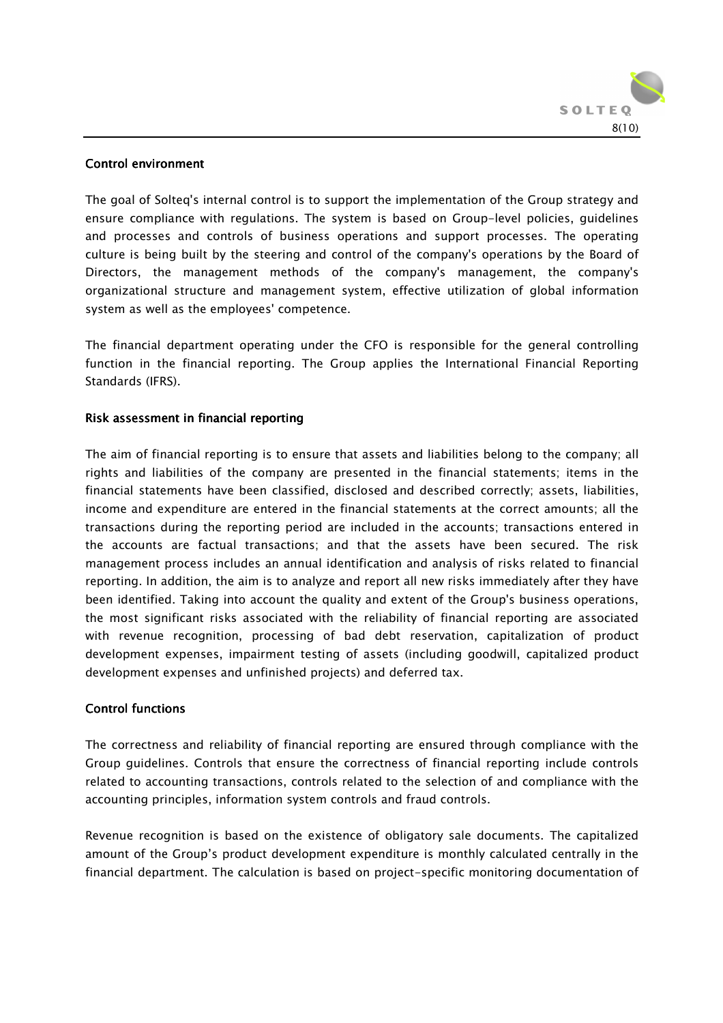

#### Control environment

The goal of Solteq's internal control is to support the implementation of the Group strategy and ensure compliance with regulations. The system is based on Group-level policies, guidelines and processes and controls of business operations and support processes. The operating culture is being built by the steering and control of the company's operations by the Board of Directors, the management methods of the company's management, the company's organizational structure and management system, effective utilization of global information system as well as the employees' competence.

The financial department operating under the CFO is responsible for the general controlling function in the financial reporting. The Group applies the International Financial Reporting Standards (IFRS).

#### Risk assessment in financial reporting

The aim of financial reporting is to ensure that assets and liabilities belong to the company; all rights and liabilities of the company are presented in the financial statements; items in the financial statements have been classified, disclosed and described correctly; assets, liabilities, income and expenditure are entered in the financial statements at the correct amounts; all the transactions during the reporting period are included in the accounts; transactions entered in the accounts are factual transactions; and that the assets have been secured. The risk management process includes an annual identification and analysis of risks related to financial reporting. In addition, the aim is to analyze and report all new risks immediately after they have been identified. Taking into account the quality and extent of the Group's business operations, the most significant risks associated with the reliability of financial reporting are associated with revenue recognition, processing of bad debt reservation, capitalization of product development expenses, impairment testing of assets (including goodwill, capitalized product development expenses and unfinished projects) and deferred tax.

#### **Control functions**

The correctness and reliability of financial reporting are ensured through compliance with the Group guidelines. Controls that ensure the correctness of financial reporting include controls related to accounting transactions, controls related to the selection of and compliance with the accounting principles, information system controls and fraud controls.

Revenue recognition is based on the existence of obligatory sale documents. The capitalized amount of the Group's product development expenditure is monthly calculated centrally in the financial department. The calculation is based on project-specific monitoring documentation of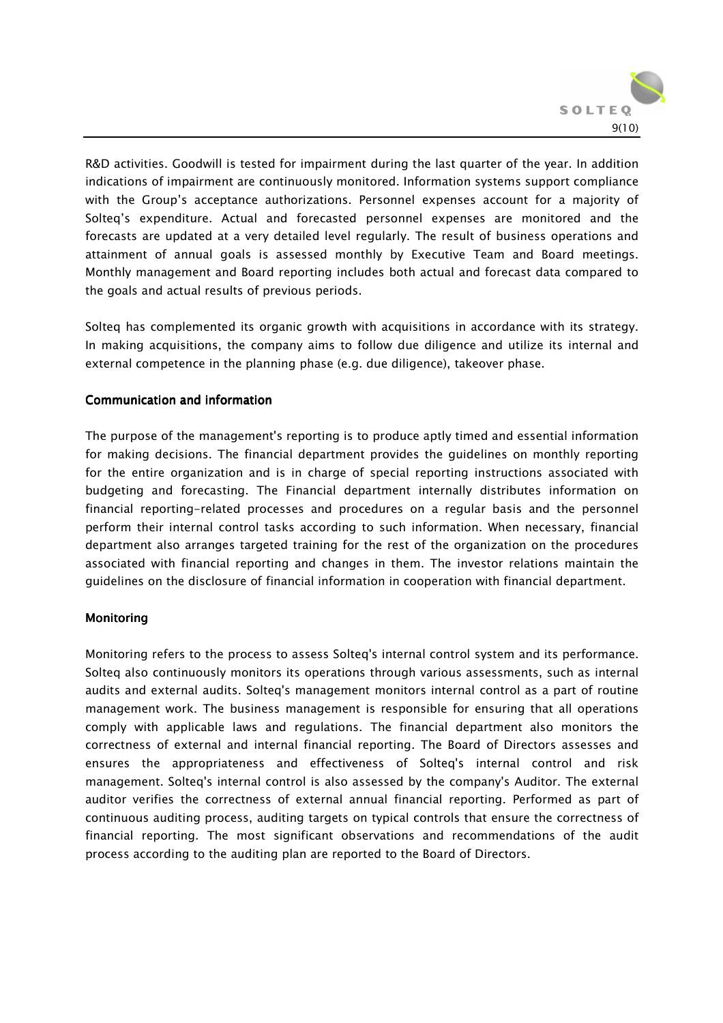

R&D activities. Goodwill is tested for impairment during the last quarter of the year. In addition indications of impairment are continuously monitored. Information systems support compliance with the Group's acceptance authorizations. Personnel expenses account for a majority of Solteq's expenditure. Actual and forecasted personnel expenses are monitored and the forecasts are updated at a very detailed level regularly. The result of business operations and attainment of annual goals is assessed monthly by Executive Team and Board meetings. Monthly management and Board reporting includes both actual and forecast data compared to the goals and actual results of previous periods.

Solteq has complemented its organic growth with acquisitions in accordance with its strategy. In making acquisitions, the company aims to follow due diligence and utilize its internal and external competence in the planning phase (e.g. due diligence), takeover phase.

#### Communication and information

The purpose of the management's reporting is to produce aptly timed and essential information for making decisions. The financial department provides the guidelines on monthly reporting for the entire organization and is in charge of special reporting instructions associated with budgeting and forecasting. The Financial department internally distributes information on financial reporting-related processes and procedures on a regular basis and the personnel perform their internal control tasks according to such information. When necessary, financial department also arranges targeted training for the rest of the organization on the procedures associated with financial reporting and changes in them. The investor relations maintain the guidelines on the disclosure of financial information in cooperation with financial department.

#### **Monitoring**

Monitoring refers to the process to assess Solteq's internal control system and its performance. Solteq also continuously monitors its operations through various assessments, such as internal audits and external audits. Solteq's management monitors internal control as a part of routine management work. The business management is responsible for ensuring that all operations comply with applicable laws and regulations. The financial department also monitors the correctness of external and internal financial reporting. The Board of Directors assesses and ensures the appropriateness and effectiveness of Solteq's internal control and risk management. Solteq's internal control is also assessed by the company's Auditor. The external auditor verifies the correctness of external annual financial reporting. Performed as part of continuous auditing process, auditing targets on typical controls that ensure the correctness of financial reporting. The most significant observations and recommendations of the audit process according to the auditing plan are reported to the Board of Directors.